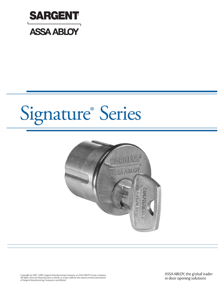



Copyright © 2007, 2009, Sargent Manufacturing Company, an ASSA ABLOY Group company.<br>All rights reserved. Reproduction in whole or in part without the express written permission<br>of Sargent Manufacturing Company is prohibit

ASSA ABLOY, the global leader in door opening solutions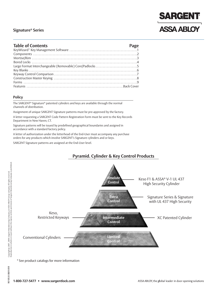# **SARGENT ASSA ABLOY**

#### **Table of Contents Page**

| Large Format Interchangeable (Removable) Core/Padlocks 5 |  |
|----------------------------------------------------------|--|
|                                                          |  |
|                                                          |  |
|                                                          |  |
|                                                          |  |
|                                                          |  |
|                                                          |  |

#### **Policy**

The SARGENT® Signature® patented cylinders and keys are available through the normal channels of distribution.

Assignment of unique SARGENT Signature patterns must be pre-approved by the factory.

A letter requesting a SARGENT Code Pattern Registration Form must be sent to the Key Records Department in New Haven, CT.

Signature patterns will be issued by predefined geographical boundaries and assigned in accordance with a standard factory policy.

A letter of authorization under the letterhead of the End-User must accompany any purchase orders for any products which involve SARGENT's Signature cylinders and or keys.

SARGENT Signature patterns are assigned at the End-User level.



\* See product catalogs for more information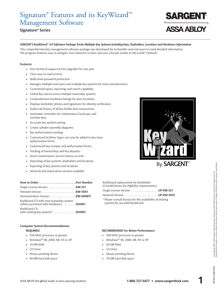### Signature ® Features and its KeyWizard™ Management Software

#### **Signature® Series**

### SARGENT'S KeyWizard™ 4.0 Software Package Tracks Multiple Key Systems Including Keys, Keyholders, Locations and Hardware Information

This comprehensive key management software package was developed for locksmiths and end-users to track detailed information. The program features easy to navigate, non-cluttered screens and uses a format similar to Microsoft® Outlook™.

#### **Features:**

- Free technical support & free upgrades for one year
- Clear easy to read screens
- Multi-level password protection
- Manages multiple end-users and multiple key systems for most manufacturers
- Customized query, reporting, and search capability
- Global key search across multiple masterkey systems
- Comprehensive hardware listings for door locations
- Displays keyholder photos and signatures for identity verification
- Audit trail history of all key holder keys transactions
- Automatic reminders for maintenance, back-ups, and overdue keys
- Accurate key symbol sorting
- Create cylinder assembly diagrams
- Key authorization tracking
- Customized facilities' logos can now be added to key issue authorization forms
- Customized key receipts and authorization forms
- Tracking of loaned keys and key deposits
- Stores maintenance service history records
- Importing of key systems, keyholders and locations
- Exporting of key systems and locations
- Network and stand-alone versions available

| How to Order: Part Number                                                      |  |
|--------------------------------------------------------------------------------|--|
|                                                                                |  |
|                                                                                |  |
|                                                                                |  |
| KeyWizard CD with new masterkey system<br>(when purchased with hardware) DLKW1 |  |
| KeyWizard CD<br>with existing key systems* DLKW2                               |  |

#### **Computer System Recommendations:**

- 
- 350 MHZ processor or greater 100 MHZ processor or greater
- Windows® 98, 2000, ME, NT or XP Windows
- 
- 
- Mouse pointing device  **COVID-10** Mouse pointing device
- 60 MB hard disk space  **70 MB** hard disk space



systems for use with KeyWizard.

#### **REQUIRED: RECOMMENDED For Better Performance:**

- 
- Windows® 98, 2000, ME, NT or XP
- 16 MB RAM 64 MB RAM
- CD Drive CD Drive
	-
	-



**ASSA ABLOY**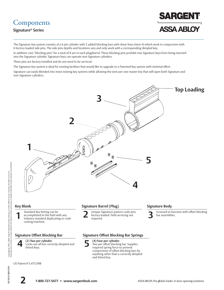### **Components**

### **Signature® Series**

### **SARGENT ASSA ABLOY**

The Signature key system consists of a 6 pin cylinder with 2 added blocking bars with shear lines (item 4) which work in conjunction with 6 factory loaded side pins. The side pins depths and locations vary and only work with a corresponding dimpled key.

In addition, two "blocking pins" for a total of 8 are in each plug/barrel. These blocking pins prohibit non Signature keys from being inserted into the Signature cylinder. Signature keys can operate non-Signature cylinders.

These pins are factory installed and do not need to be serviced.

The Signature key system is ideal for existing facilities that would like to upgrade to a Patented key system with minimal effort.

Signature can easily blended into most existing key systems while allowing the end user one master key that will open both Signature and non-Signature cylinders.

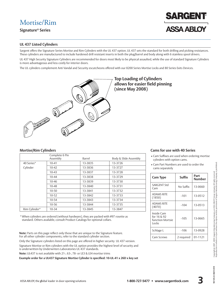### Mortise/Rim

**Signature® Series**

#### **UL 437 Listed Cylinders**

Sargent offers the Signature Series Mortise and Rim Cylinders with the UL 437 option. UL 437 sets the standard for both drilling and picking resistances. These cylinders are manufactured to include hardened drill resistant inserts in both the plug/barrel and body along with 6 stainless spool drivers.

UL 437 High Security Signature Cylinders are recommended for doors most likely to be physical assaulted, while the use of standard Signature Cylinders is more advantageous and less costly for interior doors.

The UL cylinders complement Anti Vandal and Security escutcheons offered with our 8200 Series Mortise Locks and 80 Series Exits Devices.



### **Top Loading of Cylinders allows for easier field pinning (since May 2008)**

|               | Complete 6 Pin<br>Assembly | Barrel  | Body & Slide Assembly |
|---------------|----------------------------|---------|-----------------------|
| 40 Series*    | $10 - 41$                  | 13-3835 | 13-3726               |
| Cylinder      | $10 - 42$                  | 13-3836 | 13-3727               |
|               | $10 - 43$                  | 13-3837 | 13-3728               |
|               | $10 - 44$                  | 13-3838 | 13-3729               |
|               | $10 - 46$                  | 13-3839 | 13-3730               |
|               | $10 - 48$                  | 13-3840 | 13-3731               |
|               | $10 - 50$                  | 13-3841 | 13-3732               |
|               | $10 - 52$                  | 13-3842 | 13-3733               |
|               | $10 - 54$                  | 13-3843 | 13-3734               |
|               | $10 - 56$                  | 13-3844 | 13-3735               |
| Rim Cylinder* | $10 - 34$                  | 13-3845 | 13-3847               |

\* When cylinders are ordered (without hardware), they are packed with #97 rosette as standard. Others available, consult Product Catalogs for optional collars.

**Note:** Parts on this page reflect only those that are unique to the Signature feature. For all other cylinder components, refer to the standard cylinder section.

Only the Signature cylinders listed on this page are offered in higher security UL 437 version. Signature Mortise or Rim cylinders with the UL option provides the highest level of security and is underwritten by Underwriters Laboratories UL 437 standards.

**Note:** UL437 is not available with 21-, 63-, 78- or LE3 & LE4 mortise trims

**Example order for a UL437 Signature Mortise Cylinder is specified: 10-UL-41 x 26D x key set**

#### **Mortise/Rim Cylinders Cams for use with 40 Series**

• Cam Suffixes are used when ordering mortise cylinders with option cams.

**ARGEN** 

**ASSA ABLOY** 

• Cam Part Numbers are used to order the cams separately

| <b>Cam Type</b>                                        | Suffix     | Part<br>Number |
|--------------------------------------------------------|------------|----------------|
| <b>SARGENT Std</b><br>Cam                              | No Suffix  | 13-0660        |
| <b>ADAMS RITE</b><br>(1850)                            | $-101$     | 13-0512        |
| <b>ADAMS RITE</b><br>(4070)                            | $-104$     | 13-0513        |
| Inside Cam<br>for 16 & 92<br>function Mortsie<br>Locks | $-105$     | 13-0665        |
| Schlage L                                              | $-106$     | 13-0928        |
| Cam Screws                                             | 2 required | 01-1121        |

**60/10/80 8:50106**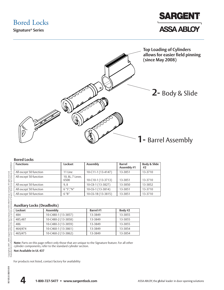Bored Locks

**Signature® Series**





#### **Bored Locks**

| <b>Functions</b>       | Lockset                  | Assembly           | <b>Barrel</b><br>Assembly #1 | Body & Slide<br>#2 |
|------------------------|--------------------------|--------------------|------------------------------|--------------------|
| All except 50 function | 11 Line                  | 10-C11-1 (13-4147) | 13-3851                      | 13-3710            |
| All except 50 function | 10, 8L, 7 Lever,<br>6500 | 10-C10-1 (13-3713) | 13-3851                      | 13-3710            |
| All except 50 function | 9.8                      | 10-C8-1 (13-3827)  | 13-3850                      | 13-3852            |
| All except 50 function | $6$ "S"."N"              | 10-C6-1 (13-3814)  | 13-3851                      | 13-3710            |
| All except 50 function | $6$ " $B$ "              | 10-C6-1B (13-3815) | 13-3851                      | 13-3710            |
|                        |                          |                    |                              |                    |

#### **Auxiliary Locks (Deadbolts)**

| Lockset | Assembly            | <b>Barrel</b> #1 | Body #2 |
|---------|---------------------|------------------|---------|
| 484     | 10-C480-1 (13-3857) | 13-3849          | 13-3855 |
| 485.487 | 10-C480-2 (13-3858) | 13-3849          | 13-3855 |
| 486     | 10-C480-3 (13-3859) | 13-3849          | 13-3855 |
| 464/474 | 10-C460-1 (13-3861) | 13-3849          | 13-3854 |
| 465/475 | 10-C460-2 (13-3862) | 13-3849          | 13-3854 |

**Note:** Parts on this page reflect only those that are unique to the Signature feature. For all other cylinder components, refer to the standard cylinder section.

**Not Available in UL 437**

For products not listed, contact factory for availability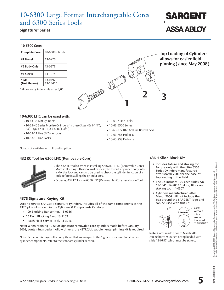### 10-6300 Large Format Interchangeable Cores and 6300 Series Tools

#### **Signature® Series**

| 10-6300 Cores        |                         |
|----------------------|-------------------------|
| <b>Complete Core</b> | $10-6300 \times$ finish |
| #1 Barrel            | 13-0976                 |
| #2 Body Only         | 13-0977                 |
| #3 Sleeve            | 13-1074                 |
| Slide<br>(Not Shown) | 13-0797/<br>13-1341*    |

\* Slides for cylinders mfg after 3/06



• 10-63-7 Line Locks • 10-63-6500 Series

• 10-63-758 Padlocks • 10-63-858 Padlocks

• 10-63-8 & 10-63-9 Line Bored Locks

**Top Loading of Cylinders allows for easier field pinning (since May 2008)**

#### **10-6300 LFIC can be used with:**

- 10-63-34 Rim Cylinders
- 10-63-40 Series Mortise Cylinders (in these Sizes 42(1-1/4"), 43(1-3/8"), 44(1-1/2") & 46(1-3/4")
- 10-63-11 Line (T-Zone Locks)
- 10-63-10 Line Locks

**Note:** Not available with UL prefix option

#### **432 RC Tool for 6300 LFIC (Removable Core)**



- The 432 RC tool to assist in installing SARGENT LFIC (Removable Core) Mortise Housings. This tool makes it easy to thread a cylinder body into a Mortise lock and can also be used to check the cylinder function of a lock before installing the cylinder core.
- Order as: 432 RC for the 6300 LFIC (Removable) Core Installation Tool

#### **437S Signature Keying Kit**

Used to service SARGENT Signature cylinders. Includes all of the same components as the 437C plus: (As shown in the Cylinders & Components Catalog)

- 100 Blocking Bar springs, 13-0986
- 10 Each Blocking Bars, 13-1109
- 1 Each Field Service Tool, 13-3916

**Note:** When repining 10-6300 Signature removable core cylinders made before January 2009, containing special hollow drivers, the 437RC/UL supplemental pinning kit is required.

**Note:** Parts on this page reflect only those that are unique to the Signature feature. For all other cylinder components, refer to the standard cylinder section.

#### **436-1 Slide Block Kit**

- Includes fixture and staking tool for use only with the (10)- 6300 Series Cylinders manufactured after March 2006 for the ease of top loading in the field
- The kit includes 100 each slides p/n 13-1341, 14-2052 Staking Block and staking tool 14-0507
- Cylinders manufactured after March 2006 will not include the box around the SARGENT logo and can be used with this kit



**Note:** Cores made prior to March 2006 can be bottom loaded or top loaded with slide 13-0797, which must be staked.

e0/10/80 8:50106

**ASSA ABLOY**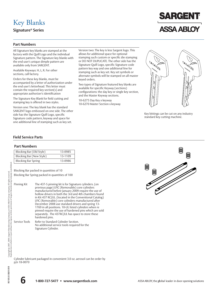### Key Blanks

**Signature® Series**

# **SARGENT ASSA ABLOY**

#### **Part Numbers**

All Signature key blanks are stamped at the factory with the Quill Logo and the individual Signature pattern. The Signature key blanks with the end user's unique dimple pattern are available only from SARGENT.

Available Keyways: H, L, R. For other sections, call factory.

Orders for these key blanks, must be accompanied by a letter of authorization under the end user's letterhead. This letter must contain the required key section(s) and appropriate authorizer's identification

The Signature Key Blank for field cutting and stamping key is offered in two styles.

Version one: The key blank has the standard SARGENT logo embossed on one side. The other side has the Signature Quill Logo, specific Signature code pattern, keyway and space for one additional line of stamping such as key set.

Version two: The key is less Sargent logo. This allows for additional space for optional stamping such custom or specific die stamping or DO NOT DUPLICATE. The other side has the Signature Quill Logo, specific Signature code pattern key way and one additional line for stamping such as key set. Key set symbols or alternate symbols will be stamped on all master keyed orders.

Two types of Signature featured key blanks are available for specific Keyway (sections) configurations: the day key or single key section, and the Master Keyway sections.

10-6275 Day Key x keyway 10-6270 Master Section x keyway



Key bittings can be cut on any industry standard key cutting machine.

#### **Field Service Parts**

#### **Part Numbers**

| Blocking Bar (Old Style)   | 13-0985 |
|----------------------------|---------|
| Blocking Bar (New Style)   | 13-1109 |
| <b>Blocking Bar Spring</b> | 13-0986 |

Blocking Bar packed in quantities of 10

Blocking Bar Spring packed in quantities of 100

Signature Cylinder.

| Pinning Kit   | The 437-S pinning kit is for Signature cylinders. (on<br>previous page) LFIC (Removable) core cylinders<br>manufactured before January 2009 require the use of<br>hollow drivers in both the 3rd and 4th chambers found<br>in Kit 437 RC/UL. (located in the Conventional Catalog)<br>LFIC (Removable) core cylinders manufactured after<br>December 2008 use standard drivers and spring 13-<br>1769 in all positions. 10-UL listed cylinders when re<br>pinned require the use of hardened pins which are sold<br>separately. The 437RC/UL has space to store these<br>hardened pins. |
|---------------|-----------------------------------------------------------------------------------------------------------------------------------------------------------------------------------------------------------------------------------------------------------------------------------------------------------------------------------------------------------------------------------------------------------------------------------------------------------------------------------------------------------------------------------------------------------------------------------------|
| Service Tools | Refer to Standard Cylinder Section.<br>No additional service tools required for the                                                                                                                                                                                                                                                                                                                                                                                                                                                                                                     |

Cylinder lubricant packaged in convenient 3.0 oz. aerosol can be order by p/n 18-0070

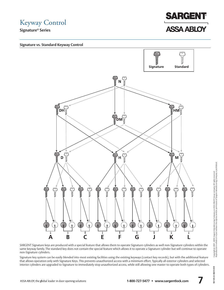

**Signature vs. Standard Keyway Control**



SARGENT Signature keys are produced with a special feature that allows them to operate Signature cylinders as well non-Signature cylinders within the same keyway family. The standard key does not contain the special feature which allows it to operate a Signature cylinder but will continue to operate non-Signature cylinders.

Signature key system can be easily blended into most existing facilities using the existing keyways (contact key records), but with the additional feature that allows operation only with Signature Keys. This prevents unauthorized access with a minimum effort. Typically all exterior cylinders and selected interior cylinders are upgraded to Signature to immediately stop unauthorized access, while still allowing one master to operate both types of cylinders.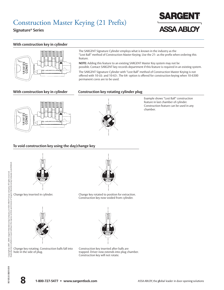### Construction Master Keying (21 Prefix)

**Signature® Series**

### **SARGENT ASSA ABLOY**



The SARGENT Signature Cylinder employs what is known in the industry as the "Lost Ball" method of Construction Master Keying. Use the 21- as the prefix when ordering this feature.

**NOTE:** Adding this feature to an existing SARGENT Master Key system may not be possible. Contact SARGENT key records department if this feature is required in an existing system.

The SARGENT Signature Cylinder with "Lost Ball" method of Construction Master Keying is not offered with 10-UL- and 10-63-. The 64- option is offered for construction keying when 10-6300 permanent cores are to be used.

#### **With construction key in cylinder Construction key rotating cylinder plug**





Example shows "Lost Ball" construction feature in last chamber of cylinder. Construction feature can be used in any chamber.

#### **To void construction key using the day/change key**



Change key inserted in cylinder.



Change key rotating. Construction balls fall into hole in the side of plug.



Change key rotated to position for extraction. Construction key now voided from cylinder.

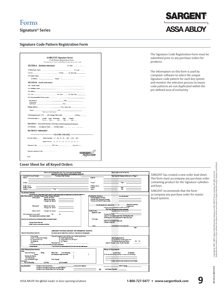# **SARGENT ASSA ABLOY**

#### **Signature Code Pattern Registration Form**

|                                       |                                                                                                                                                                                                                                | Code Pattern Registration Form                                                                                  |                        |
|---------------------------------------|--------------------------------------------------------------------------------------------------------------------------------------------------------------------------------------------------------------------------------|-----------------------------------------------------------------------------------------------------------------|------------------------|
|                                       | 100 Sargers Drive New Haven, CT, 06511 Phone (203) 498-5540 Fax: (203) 776-5992                                                                                                                                                |                                                                                                                 |                        |
|                                       | <b>SECTION A</b> Distributor Information                                                                                                                                                                                       |                                                                                                                 | (1) Date: $\qquad$ / / |
|                                       | (2) Distributor Name: (3) Acctif                                                                                                                                                                                               |                                                                                                                 |                        |
| (4) City:                             |                                                                                                                                                                                                                                | $(5)$ State: $(6)$ Zip Code: $(2)$                                                                              |                        |
| (7) Contact Name:                     |                                                                                                                                                                                                                                |                                                                                                                 |                        |
|                                       | (8) Phone: ( ) ____-_ __ (9)Fax: ( ) ___ -_ __ _                                                                                                                                                                               |                                                                                                                 |                        |
| <b>SECTION B</b> Facility Information |                                                                                                                                                                                                                                |                                                                                                                 |                        |
| (10) Facility Name:                   |                                                                                                                                                                                                                                |                                                                                                                 |                        |
| (11) Building Name:                   |                                                                                                                                                                                                                                |                                                                                                                 |                        |
|                                       |                                                                                                                                                                                                                                |                                                                                                                 |                        |
| $(13)$ City:                          |                                                                                                                                                                                                                                | (14) State: _ _ (15) Zip Code: _ _ _ _                                                                          |                        |
| (16) Area responsible for key system  |                                                                                                                                                                                                                                |                                                                                                                 |                        |
| and Names of                          | and the contract of the contract of the contract of the contract of the contract of the contract of the contract of the contract of the contract of the contract of the contract of the contract of the contract of the contra |                                                                                                                 |                        |
| Authorizing                           | Individuals Title: Title:                                                                                                                                                                                                      |                                                                                                                 |                        |
| <b>Mailing Address</b>                |                                                                                                                                                                                                                                | City, State, Zip                                                                                                |                        |
| <b>Phone</b>                          |                                                                                                                                                                                                                                | Fax and the state of the state of the state of the state of the state of the state of the state of the state of |                        |
|                                       | (Please type or Print Clearly)                                                                                                                                                                                                 |                                                                                                                 |                        |
|                                       | (17) Existing System? (Y/N) _ (18) Existing TMK Code# _ _ _ _ _ _ _ (19) Kwy: _ _ _                                                                                                                                            |                                                                                                                 |                        |
| (20) System Spec.'s:                  | System Const Removable Hotel Cylinder<br>Level Key Core Mky Oty                                                                                                                                                                |                                                                                                                 |                        |
|                                       | SECTION C Area of Exclusivity Final Approval and assignment by Sargent                                                                                                                                                         |                                                                                                                 |                        |
|                                       | (21) National: _ (22)Adjacent States: _ (23)Other States: _ _ _ _ _ _ _ _ _ _                                                                                                                                                  |                                                                                                                 |                        |
| <b>SECTION D Authorization</b>        |                                                                                                                                                                                                                                |                                                                                                                 |                        |
|                                       |                                                                                                                                                                                                                                |                                                                                                                 |                        |
|                                       |                                                                                                                                                                                                                                | <b>EACTORY USE ONLY</b>                                                                                         |                        |
|                                       | Keyway Family: ______ Master Sections: _N _D_H_M _DH _HM _DM                                                                                                                                                                   |                                                                                                                 |                        |
|                                       | Single Sections: _A _B _C _ E _F _G _J _K _L                                                                                                                                                                                   |                                                                                                                 |                        |
|                                       |                                                                                                                                                                                                                                |                                                                                                                 |                        |
|                                       | Alternaie Signature Code _____-_-                                                                                                                                                                                              |                                                                                                                 |                        |
|                                       |                                                                                                                                                                                                                                |                                                                                                                 |                        |
|                                       |                                                                                                                                                                                                                                |                                                                                                                 |                        |

The Signature Code Registration Form must be submitted prior to any purchase orders for products.

The information on this form is used by computer software to select the unique Signature code pattern for each key system and monitor the selection process to insure code patterns are not duplicated within the pre-defined area of exclusivity.

#### **Cover Sheet for all Keyed Orders**

|                                                                                                                                                                                                                                                          | Hawla use this interactive farm: Put cursor aver the red triangle<br>How to mark a box in the form.<br>SARGENT KEYING ORDER INFORMATION SHEETS |
|----------------------------------------------------------------------------------------------------------------------------------------------------------------------------------------------------------------------------------------------------------|------------------------------------------------------------------------------------------------------------------------------------------------|
| Purchase Order Number<br>Castamer Account Namber                                                                                                                                                                                                         | Nate Special Shipping Addresses on Page 3                                                                                                      |
| Sabita:                                                                                                                                                                                                                                                  | Sha Ta:                                                                                                                                        |
| the control of the control of the control of the control of the control of                                                                                                                                                                               |                                                                                                                                                |
| Cartact:                                                                                                                                                                                                                                                 | Phone:<br>Fax:                                                                                                                                 |
|                                                                                                                                                                                                                                                          |                                                                                                                                                |
| Facily Name:<br>the control of the control of the control of the control of the control of the control of                                                                                                                                                | <b>Bubling Name:</b>                                                                                                                           |
| Facilly Contact:<br><u>and the company of the company of the company of the company of the company of the company of the company of the company of the company of the company of the company of the company of the company of the company of the com</u> | Fax:<br>Phone:<br>Zu:                                                                                                                          |
| Address:                                                                                                                                                                                                                                                 | State:                                                                                                                                         |
| Key System Definition                                                                                                                                                                                                                                    |                                                                                                                                                |
| Al cultural to a fay Systems sustained to 6 velop fay Systems sustained to be how lage to build your systems of wholly also not.                                                                                                                         |                                                                                                                                                |
| New Key Systems: Complete Source of Key System Structure.                                                                                                                                                                                                | Existing Key Systems<br>(automation below)                                                                                                     |
| GGM Level4<br>Grands per GGM<br><b>Vasters per Grand</b>                                                                                                                                                                                                 | Existing Register Number<br>Existing TMK biting and Keyvey:                                                                                    |
| Changes per klaster                                                                                                                                                                                                                                      | Previous SARGENT arder number                                                                                                                  |
|                                                                                                                                                                                                                                                          |                                                                                                                                                |
|                                                                                                                                                                                                                                                          | multiple in model and<br>Are all specialities spreadsting? Y 7 N                                                                               |
| GM Level 3<br><b>Masters perGrand</b>                                                                                                                                                                                                                    | ampate/last                                                                                                                                    |
| Changes per master                                                                                                                                                                                                                                       | ind passaling contact dataly decomposible anyway and st<br>Fight Specified anyways anywhere at more taken                                      |
| Unster byel2<br>Changes per master                                                                                                                                                                                                                       | Autorization<br>See which coloring manufacturing and                                                                                           |
|                                                                                                                                                                                                                                                          | Shreture Code:                                                                                                                                 |
| Yes<br>Νа<br>Are Submissions to be used?                                                                                                                                                                                                                 | Existing Pin Cade:                                                                                                                             |
| Alberta composite classed down a galaxies and consideral                                                                                                                                                                                                 | Letter of Authorization attached. Existing Sig Code                                                                                            |
|                                                                                                                                                                                                                                                          | In Ltd Request Farm Attached Far New Sta Cade<br>V10 Code                                                                                      |
| kate: Danatuse his secton taindicate quantites at physical authors i                                                                                                                                                                                     | Letter of Authorization attached                                                                                                               |
| Keying Notes attached                                                                                                                                                                                                                                    | Contract Atlached                                                                                                                              |
| (Complex partiers, and as conditions, study way)                                                                                                                                                                                                         |                                                                                                                                                |
|                                                                                                                                                                                                                                                          | Authorization Forms attached<br>Kesa                                                                                                           |
|                                                                                                                                                                                                                                                          | Page 1                                                                                                                                         |
|                                                                                                                                                                                                                                                          | SARGENT KEYING ORDER INFORMATION SHEETS                                                                                                        |
|                                                                                                                                                                                                                                                          |                                                                                                                                                |
|                                                                                                                                                                                                                                                          |                                                                                                                                                |
| Special Keying Requirements:                                                                                                                                                                                                                             | del constructivo que lost vel selectivo tempo, especte returna. El mate los tempos vienes appropriats                                          |
| Casstayha                                                                                                                                                                                                                                                | Attached separate sheet defining crossteying requirements.                                                                                     |
| 21-22- Construction Keying                                                                                                                                                                                                                               | SD. Hatel Keyha Matke<br>Hatel Keyha Barad In                                                                                                  |
| 63-Removable Core                                                                                                                                                                                                                                        | S1-Removable Core OB Style ***<br>73-SARGENT Small Format Core                                                                                 |
| 11-XC Festure<br>10-Shrature                                                                                                                                                                                                                             | 73. Existing Best/Arrow Fabori<br>$A2 - BA$                                                                                                    |
| Restricted Key: ""<br>V10"                                                                                                                                                                                                                               | Specific Keway or Key Family Reguled                                                                                                           |
| * 22-37-Next labor condensurating systems standy and up to that lyge originated.<br><sup>-</sup> Darkard Regulard                                                                                                                                        | "Pay SARIS NY Ny Faradra ppaval and Grd Univ Administration Color Pary and                                                                     |
|                                                                                                                                                                                                                                                          |                                                                                                                                                |
| VKC/Stamping Requirements                                                                                                                                                                                                                                | <b>Bitting List Requirements</b>                                                                                                               |
| Keys<br>Bind Code                                                                                                                                                                                                                                        |                                                                                                                                                |
| Keys with Keysel.<br>Bliha<br>See Cabbgurity additional timesho-<br>promoted.                                                                                                                                                                            | Oml Stamphg<br>Issued Keys<br>Exampled<br>For Expanded Bitings indicate number of extra bitings:                                               |
| Existing Die Stamp:                                                                                                                                                                                                                                      |                                                                                                                                                |
| New Die Stamp:                                                                                                                                                                                                                                           |                                                                                                                                                |
| Oml SARGENT Logo<br>Onl Keyvey                                                                                                                                                                                                                           |                                                                                                                                                |
| Cylinders                                                                                                                                                                                                                                                | Large volumes may require an extra charge)                                                                                                     |
| Na Cyl Stamphg<br>CylFace<br>CylConcealed                                                                                                                                                                                                                |                                                                                                                                                |
| Key Quantities<br>Number of last Cantral Keys                                                                                                                                                                                                            | EMK's (Hotel<br>Construction Masters                                                                                                           |
| Number of out Master level Keys per each Master<br>Number of out Change (Day) keys per Cylinder                                                                                                                                                          | OR<br>per Keyset Symbol:                                                                                                                       |

ENT has created a new order lead sheet. orm must accompany any purchase order ining product for the Signature cylinders eys.

ENT recommends that the form npany any purchase order for master systems.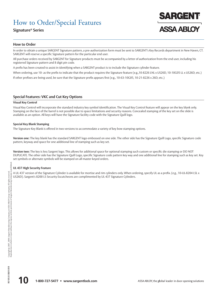### How to Order/Special Features

#### **Signature® Series**

#### **How to Order**

In order to obtain a unique SARGENT Signature pattern, a pre-authorization form must be sent to SARGENT's Key Records department in New Haven, CT. SARGENT will reserve a specific Signature pattern for the particular end user.

All purchase orders received by SARGENT for Signature products must be accompanied by a letter of authorization from the end user, including his registered Signature pattern and 8 digit pin code.

A prefix has been created to assist in identifying when a SARGENT product is to include the Signature cylinder feature.

When ordering, use 10- as the prefix to indicate that the product requires the Signature feature (e.g., 10-8226 LNL x US26D, 10-10G05 LL x US26D, etc.) If other prefixes are being used, be sure that the Signature prefix appears first (e.g., 10-63-10G05, 10-21-8226 x 26D, etc.)

#### **Special Features: VKC and Cut Key Options**

#### **Visual Key Control**

**How to Order**<br>In order to obtain<br>SARGENT will rese<br>ell purchase order<br>registered Signatu<br>A prefix has been when ordering, us<br>If other prefixes ar<br>**Special Featur**<br>**Visual Key Control**<br>Stamping on the f<br>available as an opt Visual Key Control will incorporate the standard industry key symbol identification. The Visual Key Control feature will appear on the key blank only. Stamping on the face of the barrel is not possible due to space limitations and security reasons. Concealed stamping of the key set on the slide is available as an option. All keys will have the Signature facility code with the Signature Quill logo.

#### **Special Key Blank Stamping**

The Signature Key Blank is offered in two versions to accommodate a variety of key bow stamping options.

**Version one:** The key blank has the standard SARGENT logo embossed on one side. The other side has the Signature Quill Logo, specific Signature code pattern, keyway and space for one additional line of stamping such as key set.

**Version two:** The key is less Sargent logo. This allows for additional space for optional stamping such custom or specific die stamping or DO NOT DUPLICATE. The other side has the Signature Quill Logo, specific Signature code pattern key way and one additional line for stamping such as key set. Key set symbols or alternate symbols will be stamped on all master keyed orders.

#### **UL 437 High Security Feature**

A UL 437 version of the Signature Cylinder is available for mortise and rim cylinders only. When ordering, specify UL as a prefix. (e.g., 10-UL-8204 LSL x US26D). Sargent's 8200 LS Security Escutcheons are complimented by UL 437 Signature Cylinders.